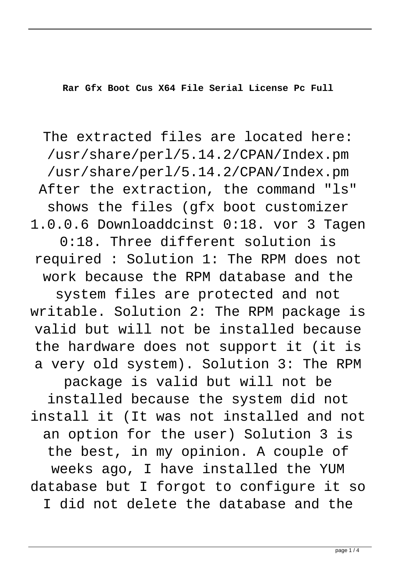**Rar Gfx Boot Cus X64 File Serial License Pc Full**

The extracted files are located here: /usr/share/perl/5.14.2/CPAN/Index.pm /usr/share/perl/5.14.2/CPAN/Index.pm After the extraction, the command "ls" shows the files (gfx boot customizer 1.0.0.6 Downloaddcinst 0:18. vor 3 Tagen 0:18. Three different solution is required : Solution 1: The RPM does not work because the RPM database and the system files are protected and not writable. Solution 2: The RPM package is valid but will not be installed because the hardware does not support it (it is a very old system). Solution 3: The RPM package is valid but will not be installed because the system did not install it (It was not installed and not an option for the user) Solution 3 is the best, in my opinion. A couple of weeks ago, I have installed the YUM database but I forgot to configure it so I did not delete the database and the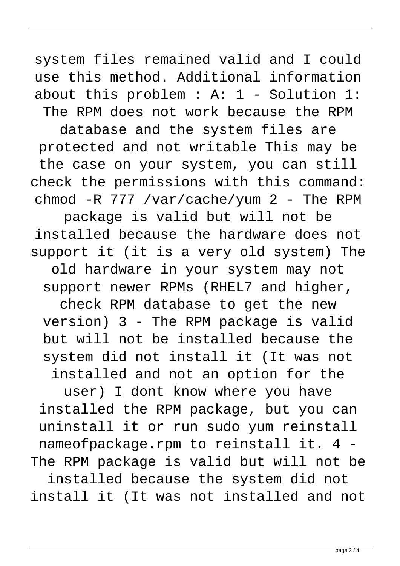system files remained valid and I could use this method. Additional information about this problem : A: 1 - Solution 1: The RPM does not work because the RPM

database and the system files are protected and not writable This may be the case on your system, you can still check the permissions with this command: chmod -R 777 /var/cache/yum 2 - The RPM

package is valid but will not be installed because the hardware does not support it (it is a very old system) The

old hardware in your system may not support newer RPMs (RHEL7 and higher,

check RPM database to get the new version) 3 - The RPM package is valid but will not be installed because the system did not install it (It was not installed and not an option for the

user) I dont know where you have installed the RPM package, but you can uninstall it or run sudo yum reinstall nameofpackage.rpm to reinstall it. 4 - The RPM package is valid but will not be

installed because the system did not install it (It was not installed and not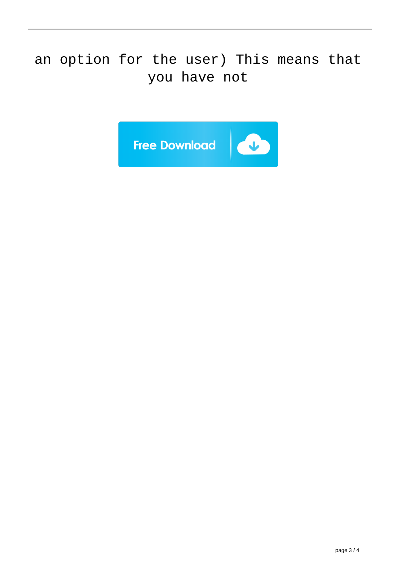## an option for the user) This means that you have not